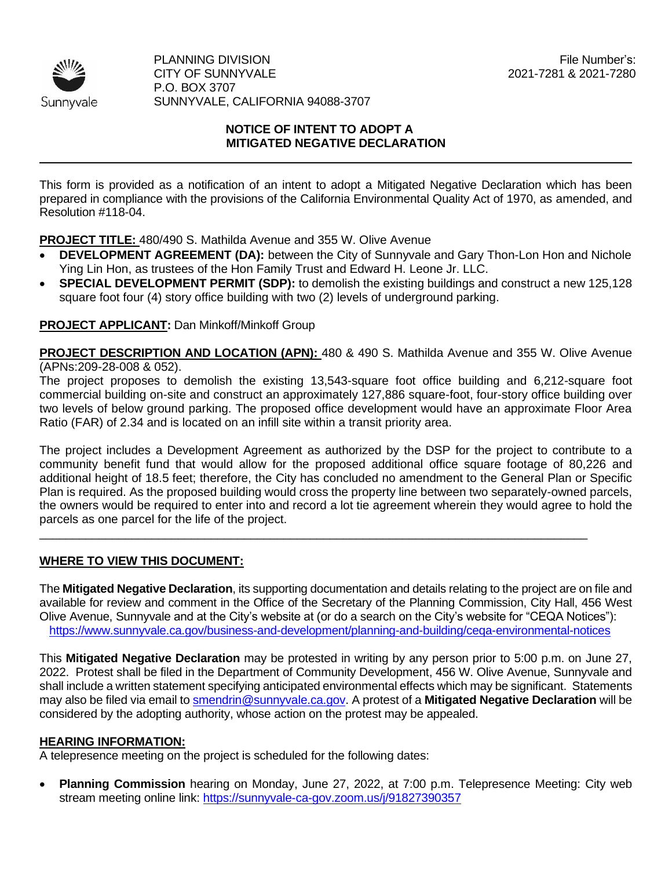

## **NOTICE OF INTENT TO ADOPT A MITIGATED NEGATIVE DECLARATION**

This form is provided as a notification of an intent to adopt a Mitigated Negative Declaration which has been prepared in compliance with the provisions of the California Environmental Quality Act of 1970, as amended, and Resolution #118-04.

**PROJECT TITLE:** 480/490 S. Mathilda Avenue and 355 W. Olive Avenue

- **DEVELOPMENT AGREEMENT (DA):** between the City of Sunnyvale and Gary Thon-Lon Hon and Nichole Ying Lin Hon, as trustees of the Hon Family Trust and Edward H. Leone Jr. LLC.
- **SPECIAL DEVELOPMENT PERMIT (SDP):** to demolish the existing buildings and construct a new 125,128 square foot four (4) story office building with two (2) levels of underground parking.

**PROJECT APPLICANT:** Dan Minkoff/Minkoff Group

**PROJECT DESCRIPTION AND LOCATION (APN):** 480 & 490 S. Mathilda Avenue and 355 W. Olive Avenue (APNs:209-28-008 & 052).

The project proposes to demolish the existing 13,543-square foot office building and 6,212-square foot commercial building on-site and construct an approximately 127,886 square-foot, four-story office building over two levels of below ground parking. The proposed office development would have an approximate Floor Area Ratio (FAR) of 2.34 and is located on an infill site within a transit priority area.

The project includes a Development Agreement as authorized by the DSP for the project to contribute to a community benefit fund that would allow for the proposed additional office square footage of 80,226 and additional height of 18.5 feet; therefore, the City has concluded no amendment to the General Plan or Specific Plan is required. As the proposed building would cross the property line between two separately-owned parcels, the owners would be required to enter into and record a lot tie agreement wherein they would agree to hold the parcels as one parcel for the life of the project.

\_\_\_\_\_\_\_\_\_\_\_\_\_\_\_\_\_\_\_\_\_\_\_\_\_\_\_\_\_\_\_\_\_\_\_\_\_\_\_\_\_\_\_\_\_\_\_\_\_\_\_\_\_\_\_\_\_\_\_\_\_\_\_\_\_\_\_\_\_\_\_\_\_\_\_\_\_\_\_\_\_\_\_

## **WHERE TO VIEW THIS DOCUMENT:**

The **Mitigated Negative Declaration**, its supporting documentation and details relating to the project are on file and available for review and comment in the Office of the Secretary of the Planning Commission, City Hall, 456 West Olive Avenue, Sunnyvale and at the City's website at (or do a search on the City's website for "CEQA Notices"): <https://www.sunnyvale.ca.gov/business-and-development/planning-and-building/ceqa-environmental-notices>

This **Mitigated Negative Declaration** may be protested in writing by any person prior to 5:00 p.m. on June 27, 2022. Protest shall be filed in the Department of Community Development, 456 W. Olive Avenue, Sunnyvale and shall include a written statement specifying anticipated environmental effects which may be significant. Statements may also be filed via email to [smendrin@sunnyvale.ca.gov.](mailto:smendrin@sunnyvale.ca.gov) A protest of a **Mitigated Negative Declaration** will be considered by the adopting authority, whose action on the protest may be appealed.

## **HEARING INFORMATION:**

A telepresence meeting on the project is scheduled for the following dates:

• **Planning Commission** hearing on Monday, June 27, 2022, at 7:00 p.m. Telepresence Meeting: City web stream meeting online link: [https://sunnyvale-ca-gov.zoom.us/j/91827390357](https://sunnyvale-ca-gov.zoom.us/J/91827390357)